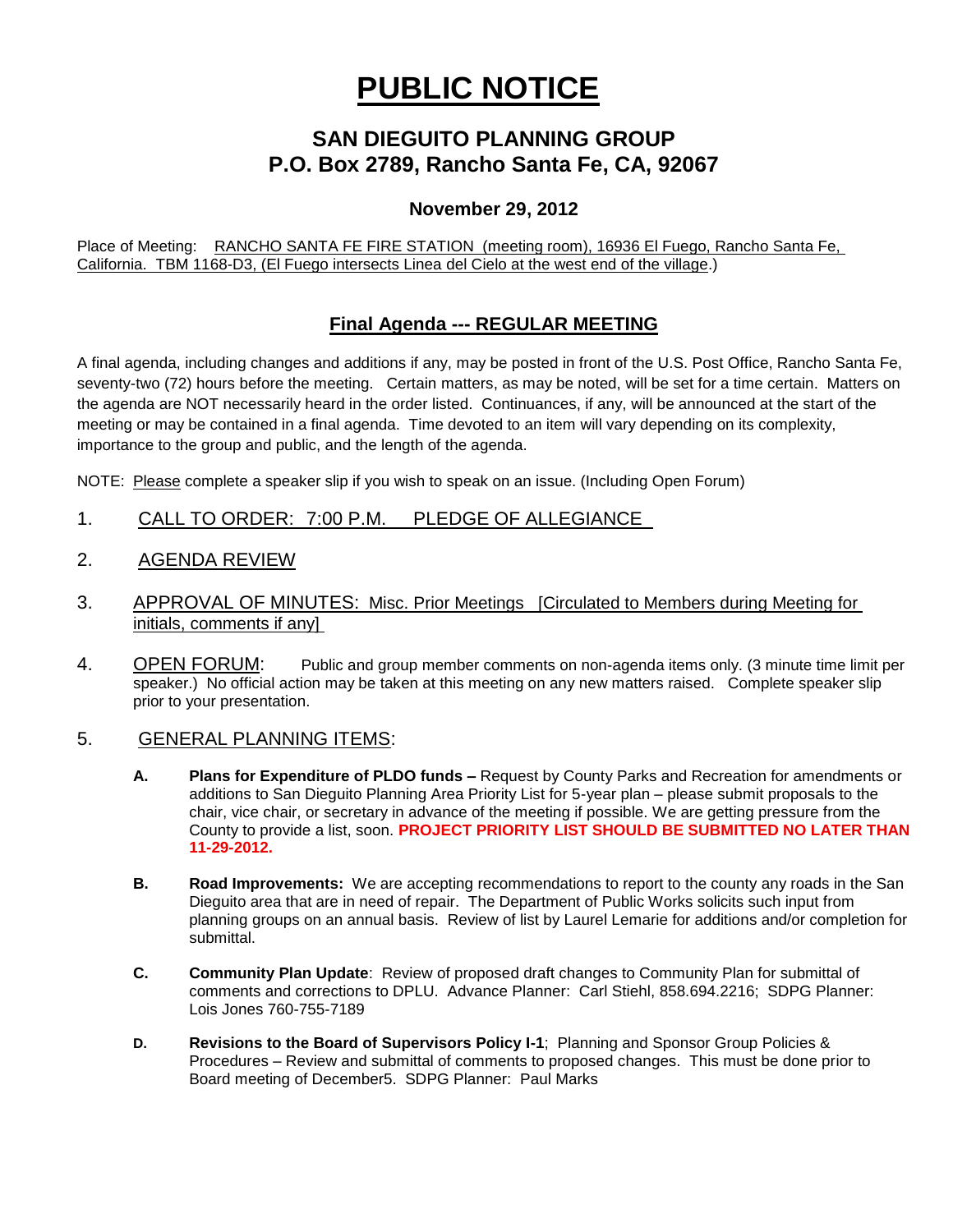# **PUBLIC NOTICE**

# **SAN DIEGUITO PLANNING GROUP P.O. Box 2789, Rancho Santa Fe, CA, 92067**

#### **November 29, 2012**

Place of Meeting: RANCHO SANTA FE FIRE STATION (meeting room), 16936 El Fuego, Rancho Santa Fe, California. TBM 1168-D3, (El Fuego intersects Linea del Cielo at the west end of the village.)

## **Final Agenda --- REGULAR MEETING**

A final agenda, including changes and additions if any, may be posted in front of the U.S. Post Office, Rancho Santa Fe, seventy-two (72) hours before the meeting. Certain matters, as may be noted, will be set for a time certain. Matters on the agenda are NOT necessarily heard in the order listed. Continuances, if any, will be announced at the start of the meeting or may be contained in a final agenda. Time devoted to an item will vary depending on its complexity, importance to the group and public, and the length of the agenda.

NOTE: Please complete a speaker slip if you wish to speak on an issue. (Including Open Forum)

- 1. CALL TO ORDER: 7:00 P.M. PLEDGE OF ALLEGIANCE
- 2. AGENDA REVIEW
- 3. APPROVAL OF MINUTES: Misc. Prior Meetings [Circulated to Members during Meeting for initials, comments if any]
- 4. OPEN FORUM: Public and group member comments on non-agenda items only. (3 minute time limit per speaker.) No official action may be taken at this meeting on any new matters raised. Complete speaker slip prior to your presentation.

#### 5. GENERAL PLANNING ITEMS:

- **A. Plans for Expenditure of PLDO funds –** Request by County Parks and Recreation for amendments or additions to San Dieguito Planning Area Priority List for 5-year plan – please submit proposals to the chair, vice chair, or secretary in advance of the meeting if possible. We are getting pressure from the County to provide a list, soon. **PROJECT PRIORITY LIST SHOULD BE SUBMITTED NO LATER THAN 11-29-2012.**
- **B. Road Improvements:** We are accepting recommendations to report to the county any roads in the San Dieguito area that are in need of repair. The Department of Public Works solicits such input from planning groups on an annual basis. Review of list by Laurel Lemarie for additions and/or completion for submittal.
- **C. Community Plan Update**: Review of proposed draft changes to Community Plan for submittal of comments and corrections to DPLU. Advance Planner: Carl Stiehl, 858.694.2216; SDPG Planner: Lois Jones 760-755-7189
- **D. Revisions to the Board of Supervisors Policy I-1**; Planning and Sponsor Group Policies & Procedures – Review and submittal of comments to proposed changes. This must be done prior to Board meeting of December5. SDPG Planner: Paul Marks